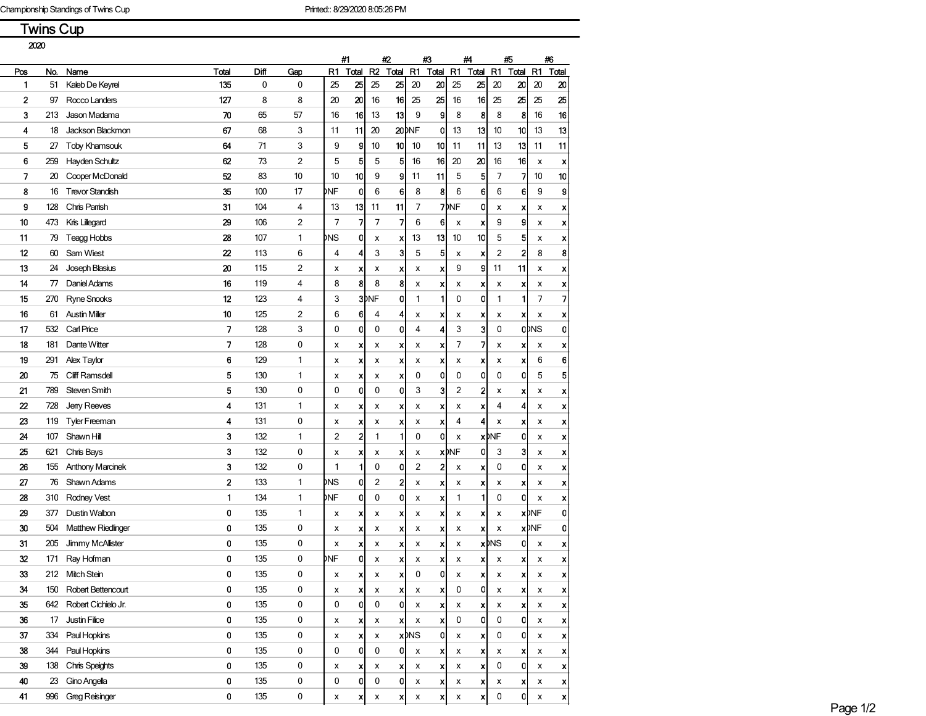Twins Cup

| 2020 |     |                           |                         |      |     |     |                           |                |                    |                         |                  |                         |                    |                         |                           |                         |                    |  |
|------|-----|---------------------------|-------------------------|------|-----|-----|---------------------------|----------------|--------------------|-------------------------|------------------|-------------------------|--------------------|-------------------------|---------------------------|-------------------------|--------------------|--|
|      |     |                           |                         |      |     |     | #1                        |                | #2                 |                         | #3               |                         | #4                 |                         | 粄                         |                         | #6                 |  |
| Pos  | No. | Name                      | Total                   | Diff | Gap | R1  | Toal                      | R <sub>2</sub> | Total              | R1                      | Total            | R1                      | Total              | R1                      | Total                     | R1                      | Total              |  |
| 1    | 51  | Kaleb De Keyrel           | 135                     | 0    | 0   | 25  | 25                        | 25             | 25                 | 20                      | 20               | 25                      | 25                 | 20                      | 20                        | 20                      | 20                 |  |
| 2    | 97  | Rocco Landers             | 127                     | 8    | 8   | 20  | 20                        | 16             | 16                 | 25                      | 25               | 16                      | 16                 | 25                      | 25                        | 25                      | 25                 |  |
| 3    | 213 | Jason Madama              | 70                      | 65   | 57  | 16  | 16                        | 13             | 13                 | 9                       | 9                | 8                       | 8                  | 8                       | 8                         | 16                      | 16                 |  |
| 4    | 18  | Jackson Blackmon          | 67                      | 68   | 3   | 11  | 11                        | 20             |                    | <b>20DNF</b>            | 0                | 13                      | 13                 | 10                      | 10                        | 13                      | 13                 |  |
| 5    | 27  | <b>Toby Khamsouk</b>      | 64                      | 71   | 3   | 9   | 9                         | 10             | 10                 | 10                      | 10               | 11                      | 11                 | 13                      | 13                        | 11                      | 11                 |  |
| 6    | 259 | Hayden Schultz            | 62                      | 73   | 2   | 5   | 5                         | 5              | 5                  | 16                      | 16               | 20                      | 20                 | 16                      | 16                        | х                       | X                  |  |
| 7    | 20  | Cooper McDonald           | 52                      | 83   | 10  | 10  | 10                        | 9              | 9                  | 11                      | 11               | 5                       | 5                  | 7                       | 7                         | 10                      | 10                 |  |
| 8    | 16  | <b>Trevor Standish</b>    | 35                      | 100  | 17  | ₫NF | 0l                        | 6              | 6                  | 8                       | 8                | 6                       | 6                  | 6                       | 6                         | 9                       | 9                  |  |
| 9    | 128 | Chris Parrish             | 31                      | 104  | 4   | 13  | 13                        | 11             | 11                 | 7                       |                  | 7 <sup>MF</sup>         | 0                  | x                       | x                         | х                       | x                  |  |
| 10   | 473 | Kris Lillegard            | 29                      | 106  | 2   | 7   | 7                         | 7              | 7                  | 6                       | 6                | х                       | x                  | 9                       | 9                         | х                       | x                  |  |
| 11   | 79  | <b>Teagg Hobbs</b>        | 28                      | 107  | 1   | ÞNS | 0                         | x              | x                  | 13                      | 13               | 10                      | 10                 | 5                       | 5                         | х                       | x                  |  |
| 12   | 60  | Sam Wiest                 | 22                      | 113  | 6   | 4   | 4                         | 3              | 3                  | 5                       | 5                | x                       | x                  | $\overline{\mathbf{c}}$ | 2                         | 8                       | 8                  |  |
| 13   | 24  | Joseph Blasius            | 20                      | 115  | 2   | x   | X                         | х              | x                  | x                       | x                | 9                       | 9                  | 11                      | 11                        | x                       | x                  |  |
| 14   | 77  | Daniel Adams              | 16                      | 119  | 4   | 8   | 8                         | 8              | 8                  | х                       | x                | x                       | x                  | х                       | x                         | х                       | X                  |  |
| 15   | 270 | <b>Ryne Snooks</b>        | 12                      | 123  | 4   | 3   |                           | 3)NF           | 0                  | 1                       | 1                | 0                       | 0                  | 1                       | 1                         | $\overline{7}$          | $\overline{z}$     |  |
| 16   | 61  | <b>Austin Miller</b>      | 10                      | 125  | 2   | 6   | 61                        | 4              | 4                  | х                       | x                | х                       | x                  | х                       | $\boldsymbol{\mathsf{x}}$ | х                       | x                  |  |
| 17   | 532 | Carl Price                | 7                       | 128  | 3   | 0   | 0                         | 0              | 0                  | 4                       | 4                | 3                       | 3                  | 0                       |                           | <b>ODNS</b>             | $\mathbf 0$        |  |
| 18   | 181 | Dante Witter              | 7                       | 128  | 0   | х   | X                         | х              | x                  | х                       | x                | 7                       | 7                  | x                       | X                         | x                       | x                  |  |
| 19   | 291 | Alex Taylor               | 6                       | 129  | 1   | x   | x                         | x              | x                  | х                       | x                | x                       | X                  | х                       | x                         | 6                       | 6                  |  |
| 20   | 75  | <b>Cliff Ramsdell</b>     | 5                       | 130  | 1   | x   | x                         | х              | x                  | 0                       | 0                | 0                       | 0                  | 0                       | 0                         | 5                       | 5                  |  |
| 21   | 789 | Steven Smith              | 5                       | 130  | 0   | 0   | O                         | 0              | 0                  | 3                       | 3                | $\overline{c}$          | 2                  |                         |                           |                         |                    |  |
| 22   | 728 |                           | 4                       | 131  | 1   |     |                           |                |                    |                         |                  |                         |                    | X<br>4                  | x<br>4                    | х                       | x                  |  |
|      |     | Jerry Reeves              |                         |      |     | х   | $\boldsymbol{x}$          | x              | x                  | x                       | X                | x                       | X                  |                         |                           | х                       | x                  |  |
| 23   | 119 | <b>Tyler Freeman</b>      | 4                       | 131  | 0   | x   | x                         | x              | x                  | x                       | x                | 4                       | 4                  | x                       | x                         | x                       | x                  |  |
| 24   | 107 | Shawn Hill                | 3                       | 132  | 1   | 2   | $\mathbf{2}$              | 1              | 1                  | 0                       | 0                | x                       |                    | <b>x</b> DNF            | 0                         | x                       | x                  |  |
| 25   | 621 | Chris Bays                | 3                       | 132  | 0   | х   | $\boldsymbol{\mathsf{x}}$ | x              | x                  | х                       |                  | <b>x</b> <sub>DNF</sub> | 0                  | 3                       | 3                         | х                       | x                  |  |
| 26   | 155 | <b>Anthony Marcinek</b>   | 3                       | 132  | 0   | 1   | 1                         | 0              | $\mathbf{0}$       | 2                       | 2                | х                       | X                  | 0                       | 0                         | х                       | x                  |  |
| 27   | 76  | Shawn Adams               | $\overline{\mathbf{2}}$ | 133  | 1   | DNS | O                         | $\overline{c}$ | $\mathbf{2}$       | x                       | x                | х                       | X                  | x                       | x                         | х                       | x                  |  |
| 28   | 310 | Rodney Vest               | 1                       | 134  | 1   | DNF | 0                         | 0              | 0                  | х                       | x                | 1                       | 1                  | 0                       | 0                         | х                       | x                  |  |
| 29   | 377 | Dustin Walbon             | 0                       | 135  | 1   | х   | X                         | х              | x                  | x                       | X                | х                       | X                  | х                       |                           | <b>x</b> DNF            | $\mathbf 0$        |  |
| 30   | 504 | <b>Matthew Riedlinger</b> | 0                       | 135  | 0   | x   | X                         | x              | x                  | x                       | X                | х                       | x                  | х                       |                           | <b>x</b> <sub>DNF</sub> | $\mathbf 0$        |  |
| 31   | 205 | Jimmy McAllister          | 0                       | 135  | 0   | x   | x                         | х              | x                  | х                       | x                | х                       |                    | <b>x</b> DNS            | O                         | x                       | X                  |  |
| 32   | 171 | Ray Hofman                | 0                       | 135  | 0   | DNF | Ol                        | x              | x                  | х                       | хI               | x                       | x                  | x                       | x                         | x                       | x                  |  |
| 33   | 212 | <b>Mitch Stein</b>        | 0                       | 135  | 0   | x   | x                         | x              | $\pmb{\mathsf{x}}$ | 0                       | 0                | х                       | X                  | x                       | X                         | х                       | x                  |  |
| 34   | 150 | Robert Bettencourt        | 0                       | 135  | 0   | x   | $\boldsymbol{\mathsf{x}}$ | x              | X                  | х                       | x                | 0                       | 0                  | х                       | $\boldsymbol{\mathsf{x}}$ | x                       | x                  |  |
| 35   | 642 | Robert Cichielo Jr.       | $\mathbf 0$             | 135  | 0   | 0   | 0l                        | 0              | <sub>0</sub>       | x                       | <b>x</b>         | x                       | X                  | х                       | X                         | x                       | x                  |  |
| 36   | 17  | Justin Filice             | 0                       | 135  | 0   | x   | x                         | x              | x                  | x                       | x                | 0                       | 0                  | 0                       | 0                         | x                       | $\pmb{\mathsf{x}}$ |  |
| 37   | 334 | Paul Hopkins              | 0                       | 135  | 0   | x   | ×                         | х              |                    | <b>x</b> <sub>DNS</sub> | 0                | x                       | X                  | 0                       | 0                         | х                       | x                  |  |
| 38   | 344 | Paul Hopkins              | 0                       | 135  | 0   | 0   | -ol                       | 0              | 0                  | х                       | $\boldsymbol{x}$ | x                       | X                  | х                       | $\boldsymbol{\mathsf{x}}$ | x                       | X                  |  |
| 39   | 138 | Chris Speights            | 0                       | 135  | 0   | х   | ×                         | х              | x                  | x                       | x                | x                       | X                  | 0                       | 0                         | x                       | X                  |  |
| 40   | 23  | <b>Gino Angella</b>       | 0                       | 135  | 0   | 0   | 0                         | 0              | 0                  | х                       | $\boldsymbol{x}$ | x                       | x                  | x                       | ×                         | х                       | X                  |  |
| 41   | 996 | <b>Greg Reisinger</b>     | $\mathbf 0$             | 135  | 0   | x   | x                         | x              | ×                  | X                       | x                | $\pmb{\times}$          | $\pmb{\mathsf{x}}$ | 0                       | 이                         | x                       | X                  |  |
|      |     |                           |                         |      |     |     |                           |                |                    |                         |                  |                         |                    |                         |                           |                         |                    |  |